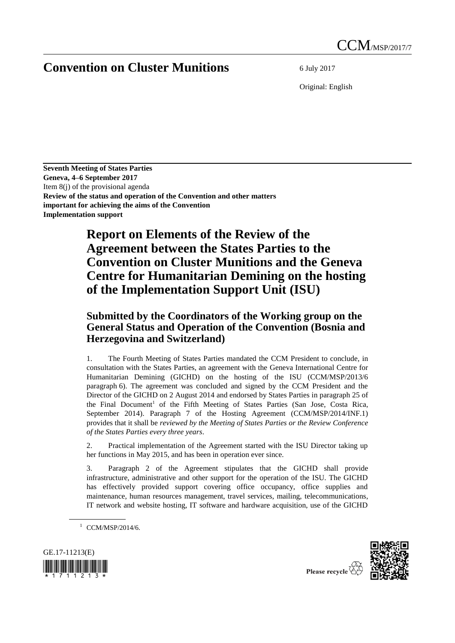## **Convention on Cluster Munitions** 6 July 2017

Original: English

**Seventh Meeting of States Parties Geneva, 4–6 September 2017** Item 8(j) of the provisional agenda **Review of the status and operation of the Convention and other matters important for achieving the aims of the Convention Implementation support**

## **Report on Elements of the Review of the Agreement between the States Parties to the Convention on Cluster Munitions and the Geneva Centre for Humanitarian Demining on the hosting of the Implementation Support Unit (ISU)**

## **Submitted by the Coordinators of the Working group on the General Status and Operation of the Convention (Bosnia and Herzegovina and Switzerland)**

1. The Fourth Meeting of States Parties mandated the CCM President to conclude, in consultation with the States Parties, an agreement with the Geneva International Centre for Humanitarian Demining (GICHD) on the hosting of the ISU (CCM/MSP/2013/6 paragraph 6). The agreement was concluded and signed by the CCM President and the Director of the GICHD on 2 August 2014 and endorsed by States Parties in paragraph 25 of the Final Document<sup>1</sup> of the Fifth Meeting of States Parties (San Jose, Costa Rica, September 2014). Paragraph 7 of the Hosting Agreement (CCM/MSP/2014/INF.1) provides that it shall be *reviewed by the Meeting of States Parties or the Review Conference of the States Parties every three years*.

2. Practical implementation of the Agreement started with the ISU Director taking up her functions in May 2015, and has been in operation ever since.

3. Paragraph 2 of the Agreement stipulates that the GICHD shall provide infrastructure, administrative and other support for the operation of the ISU. The GICHD has effectively provided support covering office occupancy, office supplies and maintenance, human resources management, travel services, mailing, telecommunications, IT network and website hosting, IT software and hardware acquisition, use of the GICHD

 $1$  CCM/MSP/2014/6.





Please recycle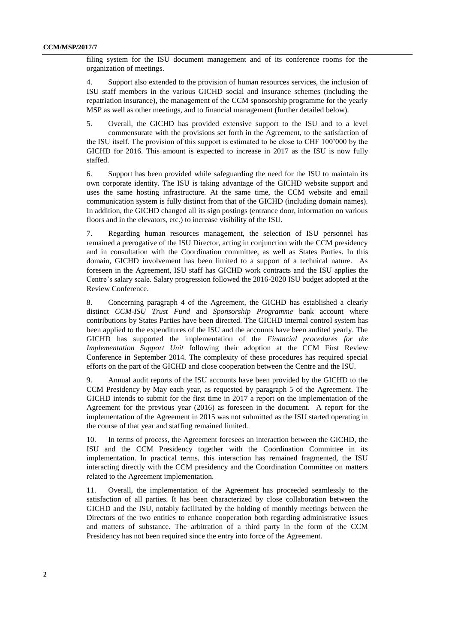filing system for the ISU document management and of its conference rooms for the organization of meetings.

4. Support also extended to the provision of human resources services, the inclusion of ISU staff members in the various GICHD social and insurance schemes (including the repatriation insurance), the management of the CCM sponsorship programme for the yearly MSP as well as other meetings, and to financial management (further detailed below).

5. Overall, the GICHD has provided extensive support to the ISU and to a level commensurate with the provisions set forth in the Agreement, to the satisfaction of the ISU itself. The provision of this support is estimated to be close to CHF 100'000 by the GICHD for 2016. This amount is expected to increase in 2017 as the ISU is now fully staffed.

6. Support has been provided while safeguarding the need for the ISU to maintain its own corporate identity. The ISU is taking advantage of the GICHD website support and uses the same hosting infrastructure. At the same time, the CCM website and email communication system is fully distinct from that of the GICHD (including domain names). In addition, the GICHD changed all its sign postings (entrance door, information on various floors and in the elevators, etc.) to increase visibility of the ISU.

7. Regarding human resources management, the selection of ISU personnel has remained a prerogative of the ISU Director, acting in conjunction with the CCM presidency and in consultation with the Coordination committee, as well as States Parties. In this domain, GICHD involvement has been limited to a support of a technical nature. As foreseen in the Agreement, ISU staff has GICHD work contracts and the ISU applies the Centre's salary scale. Salary progression followed the 2016-2020 ISU budget adopted at the Review Conference.

8. Concerning paragraph 4 of the Agreement, the GICHD has established a clearly distinct *CCM-ISU Trust Fund* and *Sponsorship Programme* bank account where contributions by States Parties have been directed. The GICHD internal control system has been applied to the expenditures of the ISU and the accounts have been audited yearly. The GICHD has supported the implementation of the *Financial procedures for the Implementation Support Unit* following their adoption at the CCM First Review Conference in September 2014. The complexity of these procedures has required special efforts on the part of the GICHD and close cooperation between the Centre and the ISU.

9. Annual audit reports of the ISU accounts have been provided by the GICHD to the CCM Presidency by May each year, as requested by paragraph 5 of the Agreement. The GICHD intends to submit for the first time in 2017 a report on the implementation of the Agreement for the previous year (2016) as foreseen in the document. A report for the implementation of the Agreement in 2015 was not submitted as the ISU started operating in the course of that year and staffing remained limited.

10. In terms of process, the Agreement foresees an interaction between the GICHD, the ISU and the CCM Presidency together with the Coordination Committee in its implementation. In practical terms, this interaction has remained fragmented, the ISU interacting directly with the CCM presidency and the Coordination Committee on matters related to the Agreement implementation.

11. Overall, the implementation of the Agreement has proceeded seamlessly to the satisfaction of all parties. It has been characterized by close collaboration between the GICHD and the ISU, notably facilitated by the holding of monthly meetings between the Directors of the two entities to enhance cooperation both regarding administrative issues and matters of substance. The arbitration of a third party in the form of the CCM Presidency has not been required since the entry into force of the Agreement.